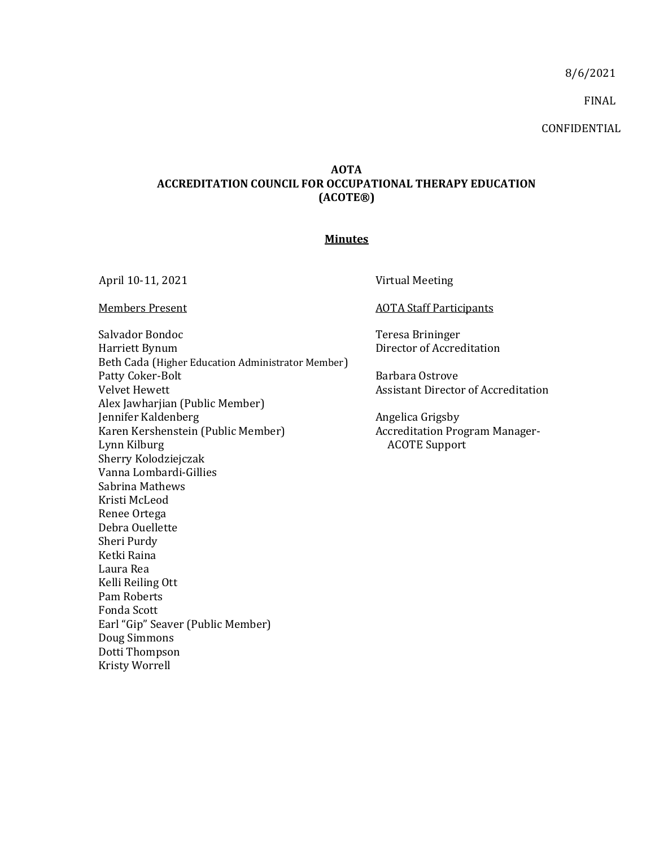8/6/2021

FINAL

CONFIDENTIAL

## **AOTA ACCREDITATION COUNCIL FOR OCCUPATIONAL THERAPY EDUCATION (ACOTE®)**

## **Minutes**

Salvador Bondoc Harriett Bynum Beth Cada (Higher Education Administrator Member) Patty Coker-Bolt Velvet Hewett Alex Jawharjian (Public Member) Jennifer Kaldenberg Karen Kershenstein (Public Member) Lynn Kilburg Sherry Kolodziejczak Vanna Lombardi-Gillies Sabrina Mathews Kristi McLeod Renee Ortega Debra Ouellette Sheri Purdy Ketki Raina Laura Rea Kelli Reiling Ott Pam Roberts Fonda Scott Earl "Gip" Seaver (Public Member) Doug Simmons Dotti Thompson Kristy Worrell

April 10-11, 2021 Virtual Meeting

Members Present **Members** Present AOTA Staff Participants

Teresa Brininger Director of Accreditation

Barbara Ostrove Assistant Director of Accreditation

Angelica Grigsby Accreditation Program Manager-ACOTE Support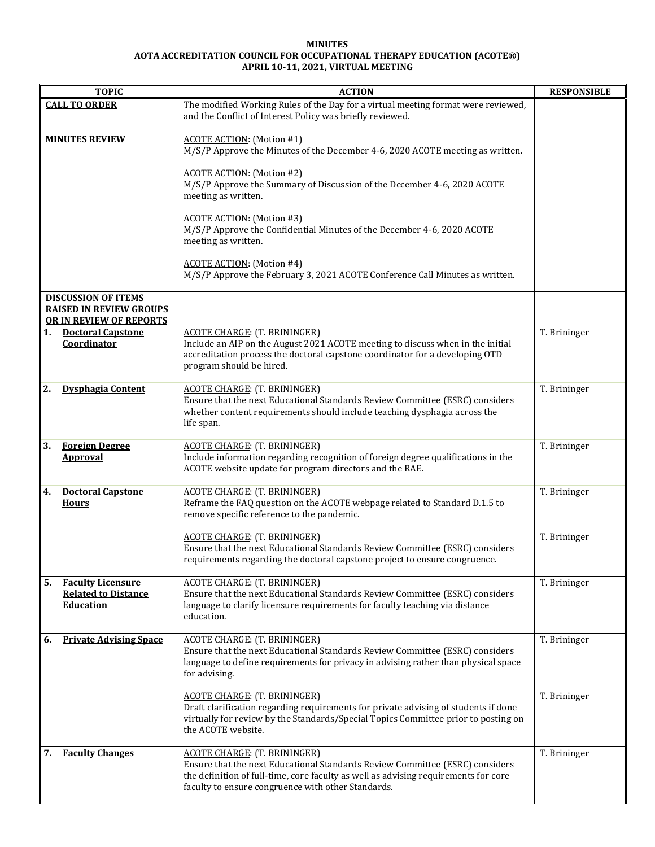## **MINUTES AOTA ACCREDITATION COUNCIL FOR OCCUPATIONAL THERAPY EDUCATION (ACOTE®) APRIL 10-11, 2021, VIRTUAL MEETING**

| <b>TOPIC</b>                                                                            | <b>ACTION</b>                                                                                                                                                                                                                                                    | <b>RESPONSIBLE</b> |
|-----------------------------------------------------------------------------------------|------------------------------------------------------------------------------------------------------------------------------------------------------------------------------------------------------------------------------------------------------------------|--------------------|
| <b>CALL TO ORDER</b>                                                                    | The modified Working Rules of the Day for a virtual meeting format were reviewed,<br>and the Conflict of Interest Policy was briefly reviewed.                                                                                                                   |                    |
| <b>MINUTES REVIEW</b>                                                                   | <b>ACOTE ACTION:</b> (Motion #1)<br>M/S/P Approve the Minutes of the December 4-6, 2020 ACOTE meeting as written.                                                                                                                                                |                    |
|                                                                                         | <b>ACOTE ACTION:</b> (Motion #2)<br>M/S/P Approve the Summary of Discussion of the December 4-6, 2020 ACOTE<br>meeting as written.                                                                                                                               |                    |
|                                                                                         | <b>ACOTE ACTION:</b> (Motion #3)<br>M/S/P Approve the Confidential Minutes of the December 4-6, 2020 ACOTE<br>meeting as written.                                                                                                                                |                    |
|                                                                                         | <b>ACOTE ACTION:</b> (Motion #4)<br>M/S/P Approve the February 3, 2021 ACOTE Conference Call Minutes as written.                                                                                                                                                 |                    |
| <b>DISCUSSION OF ITEMS</b><br><b>RAISED IN REVIEW GROUPS</b><br>OR IN REVIEW OF REPORTS |                                                                                                                                                                                                                                                                  |                    |
| <b>Doctoral Capstone</b><br>1.<br>Coordinator                                           | <b>ACOTE CHARGE: (T. BRININGER)</b><br>Include an AIP on the August 2021 ACOTE meeting to discuss when in the initial<br>accreditation process the doctoral capstone coordinator for a developing OTD<br>program should be hired.                                | T. Brininger       |
| 2.<br><b>Dysphagia Content</b>                                                          | <b>ACOTE CHARGE: (T. BRININGER)</b><br>Ensure that the next Educational Standards Review Committee (ESRC) considers<br>whether content requirements should include teaching dysphagia across the<br>life span.                                                   | T. Brininger       |
| <b>Foreign Degree</b><br>3.<br><b>Approval</b>                                          | <b>ACOTE CHARGE: (T. BRININGER)</b><br>Include information regarding recognition of foreign degree qualifications in the<br>ACOTE website update for program directors and the RAE.                                                                              | T. Brininger       |
| <b>Doctoral Capstone</b><br>4.<br><b>Hours</b>                                          | <b>ACOTE CHARGE: (T. BRININGER)</b><br>Reframe the FAQ question on the ACOTE webpage related to Standard D.1.5 to<br>remove specific reference to the pandemic.                                                                                                  | T. Brininger       |
|                                                                                         | <b>ACOTE CHARGE: (T. BRININGER)</b><br>Ensure that the next Educational Standards Review Committee (ESRC) considers<br>requirements regarding the doctoral capstone project to ensure congruence.                                                                | T. Brininger       |
| 5.<br><b>Faculty Licensure</b><br><b>Related to Distance</b><br><b>Education</b>        | <b>ACOTE CHARGE: (T. BRININGER)</b><br>Ensure that the next Educational Standards Review Committee (ESRC) considers<br>language to clarify licensure requirements for faculty teaching via distance<br>education.                                                | T. Brininger       |
| <b>Private Advising Space</b><br>6.                                                     | <b>ACOTE CHARGE: (T. BRININGER)</b><br>Ensure that the next Educational Standards Review Committee (ESRC) considers<br>language to define requirements for privacy in advising rather than physical space<br>for advising.                                       | T. Brininger       |
|                                                                                         | <b>ACOTE CHARGE: (T. BRININGER)</b><br>Draft clarification regarding requirements for private advising of students if done<br>virtually for review by the Standards/Special Topics Committee prior to posting on<br>the ACOTE website.                           | T. Brininger       |
| <b>Faculty Changes</b><br>7.                                                            | <b>ACOTE CHARGE: (T. BRININGER)</b><br>Ensure that the next Educational Standards Review Committee (ESRC) considers<br>the definition of full-time, core faculty as well as advising requirements for core<br>faculty to ensure congruence with other Standards. | T. Brininger       |